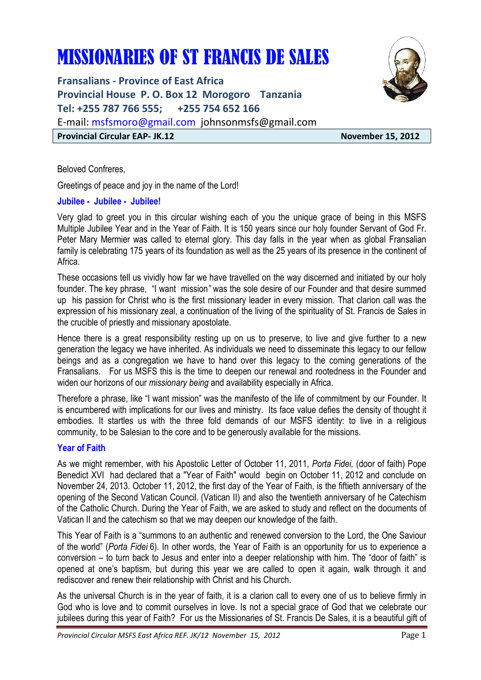# MISSIONARIES OF ST FRANCIS DE SALES

**Fransalians - Province of East Africa Provincial House P. O. Box 12 Morogoro Tanzania Tel: +255 787 766 555; +255 754 652 166**  E-mail: msfsmoro@gmail.com johnsonmsfs@gmail.com **Provincial Circular EAP- JK.12** November 15, 2012



Beloved Confreres,

Greetings of peace and joy in the name of the Lord!

### **Jubilee - Jubilee - Jubilee!**

Very glad to greet you in this circular wishing each of you the unique grace of being in this MSFS Multiple Jubilee Year and in the Year of Faith. It is 150 years since our holy founder Servant of God Fr. Peter Mary Mermier was called to eternal glory. This day falls in the year when as global Fransalian family is celebrating 175 years of its foundation as well as the 25 years of its presence in the continent of Africa.

These occasions tell us vividly how far we have travelled on the way discerned and initiated by our holy founder. The key phrase, "I want mission*"* was the sole desire of our Founder and that desire summed up his passion for Christ who is the first missionary leader in every mission. That clarion call was the expression of his missionary zeal, a continuation of the living of the spirituality of St. Francis de Sales in the crucible of priestly and missionary apostolate.

Hence there is a great responsibility resting up on us to preserve, to live and give further to a new generation the legacy we have inherited. As individuals we need to disseminate this legacy to our fellow beings and as a congregation we have to hand over this legacy to the coming generations of the Fransalians. For us MSFS this is the time to deepen our renewal and rootedness in the Founder and widen our horizons of our *missionary being* and availability especially in Africa.

Therefore a phrase, like "I want mission" was the manifesto of the life of commitment by our Founder. It is encumbered with implications for our lives and ministry. Its face value defies the density of thought it embodies. It startles us with the three fold demands of our MSFS identity: to live in a religious community, to be Salesian to the core and to be generously available for the missions.

#### **Year of Faith**

As we might remember, with his Apostolic Letter of October 11, 2011, *Porta Fidei,* (door of faith) Pope Benedict XVI had declared that a "Year of Faith" would begin on October 11, 2012 and conclude on November 24, 2013. October 11, 2012, the first day of the Year of Faith, is the fiftieth anniversary of the opening of the Second Vatican Council. (Vatican II) and also the twentieth anniversary of he Catechism of the Catholic Church. During the Year of Faith, we are asked to study and reflect on the documents of Vatican II and the catechism so that we may deepen our knowledge of the faith.

This Year of Faith is a "summons to an authentic and renewed conversion to the Lord, the One Saviour of the world" (*Porta Fidei* 6). In other words, the Year of Faith is an opportunity for us to experience a conversion – to turn back to Jesus and enter into a deeper relationship with him. The "door of faith" is opened at one's baptism, but during this year we are called to open it again, walk through it and rediscover and renew their relationship with Christ and his Church.

As the universal Church is in the year of faith, it is a clarion call to every one of us to believe firmly in God who is love and to commit ourselves in love. Is not a special grace of God that we celebrate our jubilees during this year of Faith? For us the Missionaries of St. Francis De Sales, it is a beautiful gift of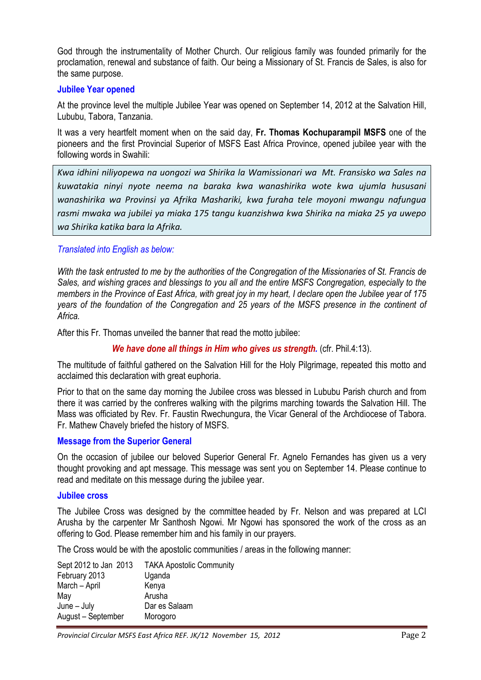God through the instrumentality of Mother Church. Our religious family was founded primarily for the proclamation, renewal and substance of faith. Our being a Missionary of St. Francis de Sales, is also for the same purpose.

#### **Jubilee Year opened**

At the province level the multiple Jubilee Year was opened on September 14, 2012 at the Salvation Hill, Lububu, Tabora, Tanzania.

It was a very heartfelt moment when on the said day, **Fr. Thomas Kochuparampil MSFS** one of the pioneers and the first Provincial Superior of MSFS East Africa Province, opened jubilee year with the following words in Swahili:

*Kwa idhini niliyopewa na uongozi wa Shirika la Wamissionari wa Mt. Fransisko wa Sales na kuwatakia ninyi nyote neema na baraka kwa wanashirika wote kwa ujumla hususani wanashirika wa Provinsi ya Afrika Mashariki, kwa furaha tele moyoni mwangu nafungua rasmi mwaka wa jubilei ya miaka 175 tangu kuanzishwa kwa Shirika na miaka 25 ya uwepo wa Shirika katika bara la Afrika.* 

### *Translated into English as below:*

*With the task entrusted to me by the authorities of the Congregation of the Missionaries of St. Francis de Sales, and wishing graces and blessings to you all and the entire MSFS Congregation, especially to the members in the Province of East Africa, with great joy in my heart, I declare open the Jubilee year of 175 years of the foundation of the Congregation and 25 years of the MSFS presence in the continent of Africa.*

After this Fr. Thomas unveiled the banner that read the motto jubilee:

*We have done all things in Him who gives us strength.* (cfr. Phil.4:13).

The multitude of faithful gathered on the Salvation Hill for the Holy Pilgrimage, repeated this motto and acclaimed this declaration with great euphoria.

Prior to that on the same day morning the Jubilee cross was blessed in Lububu Parish church and from there it was carried by the confreres walking with the pilgrims marching towards the Salvation Hill. The Mass was officiated by Rev. Fr. Faustin Rwechungura, the Vicar General of the Archdiocese of Tabora. Fr. Mathew Chavely briefed the history of MSFS.

#### **Message from the Superior General**

On the occasion of jubilee our beloved Superior General Fr. Agnelo Fernandes has given us a very thought provoking and apt message. This message was sent you on September 14. Please continue to read and meditate on this message during the jubilee year.

#### **Jubilee cross**

The Jubilee Cross was designed by the committee headed by Fr. Nelson and was prepared at LCI Arusha by the carpenter Mr Santhosh Ngowi. Mr Ngowi has sponsored the work of the cross as an offering to God. Please remember him and his family in our prayers.

The Cross would be with the apostolic communities / areas in the following manner:

| Sept 2012 to Jan 2013 | <b>TAKA Apostolic Community</b> |
|-----------------------|---------------------------------|
| February 2013         | Uganda                          |
| March - April         | Kenya                           |
| May                   | Arusha                          |
| $June - July$         | Dar es Salaam                   |
| August - September    | Morogoro                        |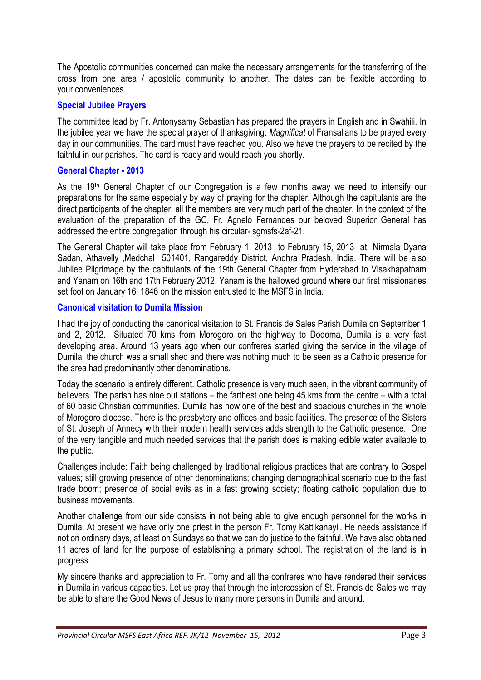The Apostolic communities concerned can make the necessary arrangements for the transferring of the cross from one area / apostolic community to another. The dates can be flexible according to your conveniences.

# **Special Jubilee Prayers**

The committee lead by Fr. Antonysamy Sebastian has prepared the prayers in English and in Swahili. In the jubilee year we have the special prayer of thanksgiving: *Magnificat* of Fransalians to be prayed every day in our communities. The card must have reached you. Also we have the prayers to be recited by the faithful in our parishes. The card is ready and would reach you shortly.

# **General Chapter - 2013**

As the 19<sup>th</sup> General Chapter of our Congregation is a few months away we need to intensify our preparations for the same especially by way of praying for the chapter. Although the capitulants are the direct participants of the chapter, all the members are very much part of the chapter. In the context of the evaluation of the preparation of the GC, Fr. Agnelo Fernandes our beloved Superior General has addressed the entire congregation through his circular- sgmsfs-2af-21.

The General Chapter will take place from February 1, 2013 to February 15, 2013 at Nirmala Dyana Sadan, Athavelly ,Medchal 501401, Rangareddy District, Andhra Pradesh, India. There will be also Jubilee Pilgrimage by the capitulants of the 19th General Chapter from Hyderabad to Visakhapatnam and Yanam on 16th and 17th February 2012. Yanam is the hallowed ground where our first missionaries set foot on January 16, 1846 on the mission entrusted to the MSFS in India.

# **Canonical visitation to Dumila Mission**

I had the joy of conducting the canonical visitation to St. Francis de Sales Parish Dumila on September 1 and 2, 2012. Situated 70 kms from Morogoro on the highway to Dodoma, Dumila is a very fast developing area. Around 13 years ago when our confreres started giving the service in the village of Dumila, the church was a small shed and there was nothing much to be seen as a Catholic presence for the area had predominantly other denominations.

Today the scenario is entirely different. Catholic presence is very much seen, in the vibrant community of believers. The parish has nine out stations – the farthest one being 45 kms from the centre – with a total of 60 basic Christian communities. Dumila has now one of the best and spacious churches in the whole of Morogoro diocese. There is the presbytery and offices and basic facilities. The presence of the Sisters of St. Joseph of Annecy with their modern health services adds strength to the Catholic presence. One of the very tangible and much needed services that the parish does is making edible water available to the public.

Challenges include: Faith being challenged by traditional religious practices that are contrary to Gospel values; still growing presence of other denominations; changing demographical scenario due to the fast trade boom; presence of social evils as in a fast growing society; floating catholic population due to business movements.

Another challenge from our side consists in not being able to give enough personnel for the works in Dumila. At present we have only one priest in the person Fr. Tomy Kattikanayil. He needs assistance if not on ordinary days, at least on Sundays so that we can do justice to the faithful. We have also obtained 11 acres of land for the purpose of establishing a primary school. The registration of the land is in progress.

My sincere thanks and appreciation to Fr. Tomy and all the confreres who have rendered their services in Dumila in various capacities. Let us pray that through the intercession of St. Francis de Sales we may be able to share the Good News of Jesus to many more persons in Dumila and around.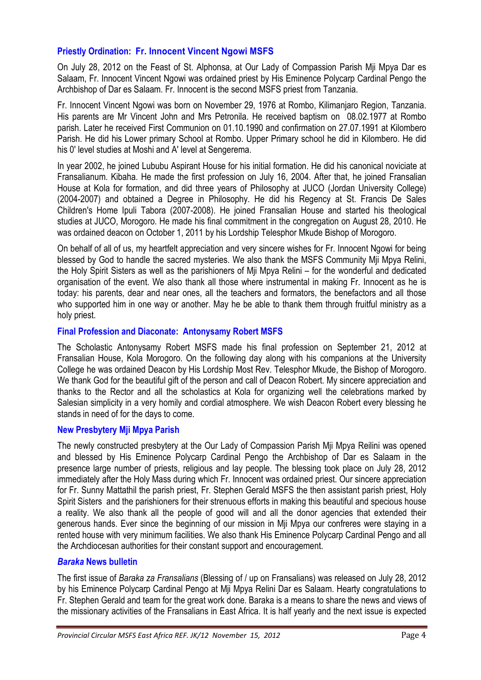# **Priestly Ordination: Fr. Innocent Vincent Ngowi MSFS**

On July 28, 2012 on the Feast of St. Alphonsa, at Our Lady of Compassion Parish Mji Mpya Dar es Salaam, Fr. Innocent Vincent Ngowi was ordained priest by His Eminence Polycarp Cardinal Pengo the Archbishop of Dar es Salaam. Fr. Innocent is the second MSFS priest from Tanzania.

Fr. Innocent Vincent Ngowi was born on November 29, 1976 at Rombo, Kilimanjaro Region, Tanzania. His parents are Mr Vincent John and Mrs Petronila. He received baptism on 08.02.1977 at Rombo parish. Later he received First Communion on 01.10.1990 and confirmation on 27.07.1991 at Kilombero Parish. He did his Lower primary School at Rombo. Upper Primary school he did in Kilombero. He did his 0' level studies at Moshi and A' level at Sengerema.

In year 2002, he joined Lububu Aspirant House for his initial formation. He did his canonical noviciate at Fransalianum. Kibaha. He made the first profession on July 16, 2004. After that, he joined Fransalian House at Kola for formation, and did three years of Philosophy at JUCO (Jordan University College) (2004-2007) and obtained a Degree in Philosophy. He did his Regency at St. Francis De Sales Children's Home Ipuli Tabora (2007-2008). He joined Fransalian House and started his theological studies at JUCO, Morogoro. He made his final commitment in the congregation on August 28, 2010. He was ordained deacon on October 1, 2011 by his Lordship Telesphor Mkude Bishop of Morogoro.

On behalf of all of us, my heartfelt appreciation and very sincere wishes for Fr. Innocent Ngowi for being blessed by God to handle the sacred mysteries. We also thank the MSFS Community Mji Mpya Relini, the Holy Spirit Sisters as well as the parishioners of Mji Mpya Relini – for the wonderful and dedicated organisation of the event. We also thank all those where instrumental in making Fr. Innocent as he is today: his parents, dear and near ones, all the teachers and formators, the benefactors and all those who supported him in one way or another. May he be able to thank them through fruitful ministry as a holy priest.

# **Final Profession and Diaconate: Antonysamy Robert MSFS**

The Scholastic Antonysamy Robert MSFS made his final profession on September 21, 2012 at Fransalian House, Kola Morogoro. On the following day along with his companions at the University College he was ordained Deacon by His Lordship Most Rev. Telesphor Mkude, the Bishop of Morogoro. We thank God for the beautiful gift of the person and call of Deacon Robert. My sincere appreciation and thanks to the Rector and all the scholastics at Kola for organizing well the celebrations marked by Salesian simplicity in a very homily and cordial atmosphere. We wish Deacon Robert every blessing he stands in need of for the days to come.

# **New Presbytery Mji Mpya Parish**

The newly constructed presbytery at the Our Lady of Compassion Parish Mji Mpya Reilini was opened and blessed by His Eminence Polycarp Cardinal Pengo the Archbishop of Dar es Salaam in the presence large number of priests, religious and lay people. The blessing took place on July 28, 2012 immediately after the Holy Mass during which Fr. Innocent was ordained priest. Our sincere appreciation for Fr. Sunny Mattathil the parish priest, Fr. Stephen Gerald MSFS the then assistant parish priest, Holy Spirit Sisters and the parishioners for their strenuous efforts in making this beautiful and specious house a reality. We also thank all the people of good will and all the donor agencies that extended their generous hands. Ever since the beginning of our mission in Mji Mpya our confreres were staying in a rented house with very minimum facilities. We also thank His Eminence Polycarp Cardinal Pengo and all the Archdiocesan authorities for their constant support and encouragement.

# *Baraka* **News bulletin**

The first issue of *Baraka za Fransalians* (Blessing of / up on Fransalians) was released on July 28, 2012 by his Eminence Polycarp Cardinal Pengo at Mji Mpya Relini Dar es Salaam. Hearty congratulations to Fr. Stephen Gerald and team for the great work done. Baraka is a means to share the news and views of the missionary activities of the Fransalians in East Africa. It is half yearly and the next issue is expected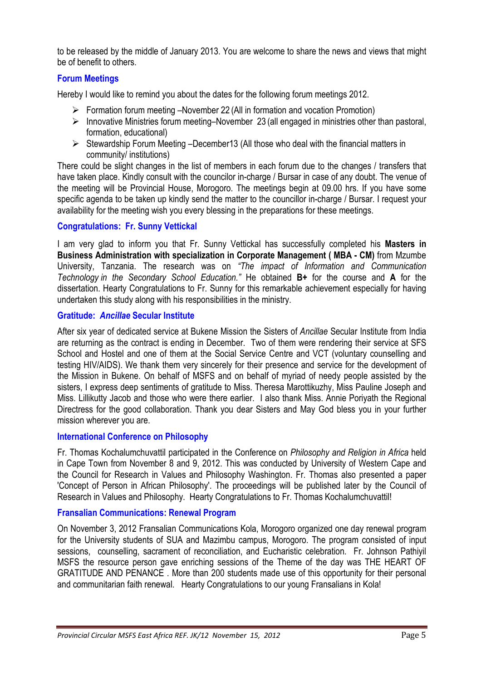to be released by the middle of January 2013. You are welcome to share the news and views that might be of benefit to others.

# **Forum Meetings**

Hereby I would like to remind you about the dates for the following forum meetings 2012.

- Formation forum meeting –November 22 (All in formation and vocation Promotion)
- $\triangleright$  Innovative Ministries forum meeting–November 23 (all engaged in ministries other than pastoral, formation, educational)
- $\triangleright$  Stewardship Forum Meeting –December13 (All those who deal with the financial matters in community/ institutions)

There could be slight changes in the list of members in each forum due to the changes / transfers that have taken place. Kindly consult with the councilor in-charge / Bursar in case of any doubt. The venue of the meeting will be Provincial House, Morogoro. The meetings begin at 09.00 hrs. If you have some specific agenda to be taken up kindly send the matter to the councillor in-charge / Bursar. I request your availability for the meeting wish you every blessing in the preparations for these meetings.

# **Congratulations: Fr. Sunny Vettickal**

I am very glad to inform you that Fr. Sunny Vettickal has successfully completed his **Masters in Business Administration with specialization in Corporate Management ( MBA - CM)** from Mzumbe University, Tanzania. The research was on *"The impact of Information and Communication Technology in the Secondary School Education."* He obtained **B+** for the course and **A** for the dissertation. Hearty Congratulations to Fr. Sunny for this remarkable achievement especially for having undertaken this study along with his responsibilities in the ministry.

### **Gratitude:** *Ancillae* **Secular Institute**

After six year of dedicated service at Bukene Mission the Sisters of *Ancillae* Secular Institute from India are returning as the contract is ending in December. Two of them were rendering their service at SFS School and Hostel and one of them at the Social Service Centre and VCT (voluntary counselling and testing HIV/AIDS). We thank them very sincerely for their presence and service for the development of the Mission in Bukene. On behalf of MSFS and on behalf of myriad of needy people assisted by the sisters, I express deep sentiments of gratitude to Miss. Theresa Marottikuzhy, Miss Pauline Joseph and Miss. Lillikutty Jacob and those who were there earlier. I also thank Miss. Annie Poriyath the Regional Directress for the good collaboration. Thank you dear Sisters and May God bless you in your further mission wherever you are.

# **International Conference on Philosophy**

Fr. Thomas Kochalumchuvattil participated in the Conference on *Philosophy and Religion in Africa* held in Cape Town from November 8 and 9, 2012. This was conducted by University of Western Cape and the Council for Research in Values and Philosophy Washington. Fr. Thomas also presented a paper 'Concept of Person in African Philosophy'. The proceedings will be published later by the Council of Research in Values and Philosophy. Hearty Congratulations to Fr. Thomas Kochalumchuvattil!

# **Fransalian Communications: Renewal Program**

On November 3, 2012 Fransalian Communications Kola, Morogoro organized one day renewal program for the University students of SUA and Mazimbu campus, Morogoro. The program consisted of input sessions, counselling, sacrament of reconciliation, and Eucharistic celebration. Fr. Johnson Pathiyil MSFS the resource person gave enriching sessions of the Theme of the day was THE HEART OF GRATITUDE AND PENANCE . More than 200 students made use of this opportunity for their personal and communitarian faith renewal. Hearty Congratulations to our young Fransalians in Kola!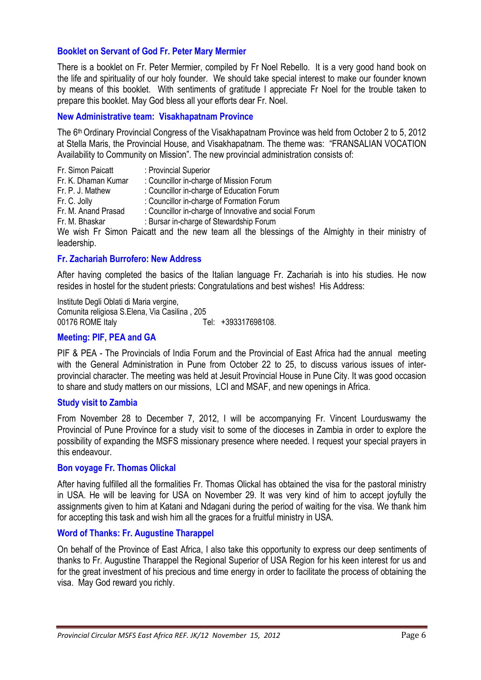### **Booklet on Servant of God Fr. Peter Mary Mermier**

There is a booklet on Fr. Peter Mermier, compiled by Fr Noel Rebello. It is a very good hand book on the life and spirituality of our holy founder. We should take special interest to make our founder known by means of this booklet. With sentiments of gratitude I appreciate Fr Noel for the trouble taken to prepare this booklet. May God bless all your efforts dear Fr. Noel.

#### **New Administrative team: Visakhapatnam Province**

The 6th Ordinary Provincial Congress of the Visakhapatnam Province was held from October 2 to 5, 2012 at Stella Maris, the Provincial House, and Visakhapatnam. The theme was: "FRANSALIAN VOCATION Availability to Community on Mission". The new provincial administration consists of:

| Fr. Simon Paicatt   | : Provincial Superior                                                      |
|---------------------|----------------------------------------------------------------------------|
| Fr. K. Dhaman Kumar | : Councillor in-charge of Mission Forum                                    |
| Fr. P. J. Mathew    | : Councillor in-charge of Education Forum                                  |
| Fr. C. Jolly        | : Councillor in-charge of Formation Forum                                  |
| Fr. M. Anand Prasad | : Councillor in-charge of Innovative and social Forum                      |
| Fr. M. Bhaskar      | : Bursar in-charge of Stewardship Forum                                    |
|                     | We wish Fr Simon Paicatt and the new team all the blessings of the Almight |

ghty in their ministry of leadership.

#### **Fr. Zachariah Burrofero: New Address**

After having completed the basics of the Italian language Fr. Zachariah is into his studies. He now resides in hostel for the student priests: Congratulations and best wishes! His Address:

Institute Degli Oblati di Maria vergine, Comunita religiosa S.Elena, Via Casilina , 205 00176 ROME Italy Tel: +393317698108.

### **Meeting: PIF, PEA and GA**

PIF & PEA - The Provincials of India Forum and the Provincial of East Africa had the annual meeting with the General Administration in Pune from October 22 to 25, to discuss various issues of interprovincial character. The meeting was held at Jesuit Provincial House in Pune City. It was good occasion to share and study matters on our missions, LCI and MSAF, and new openings in Africa.

#### **Study visit to Zambia**

From November 28 to December 7, 2012, I will be accompanying Fr. Vincent Lourduswamy the Provincial of Pune Province for a study visit to some of the dioceses in Zambia in order to explore the possibility of expanding the MSFS missionary presence where needed. I request your special prayers in this endeavour.

#### **Bon voyage Fr. Thomas Olickal**

After having fulfilled all the formalities Fr. Thomas Olickal has obtained the visa for the pastoral ministry in USA. He will be leaving for USA on November 29. It was very kind of him to accept joyfully the assignments given to him at Katani and Ndagani during the period of waiting for the visa. We thank him for accepting this task and wish him all the graces for a fruitful ministry in USA.

#### **Word of Thanks: Fr. Augustine Tharappel**

On behalf of the Province of East Africa, I also take this opportunity to express our deep sentiments of thanks to Fr. Augustine Tharappel the Regional Superior of USA Region for his keen interest for us and for the great investment of his precious and time energy in order to facilitate the process of obtaining the visa. May God reward you richly.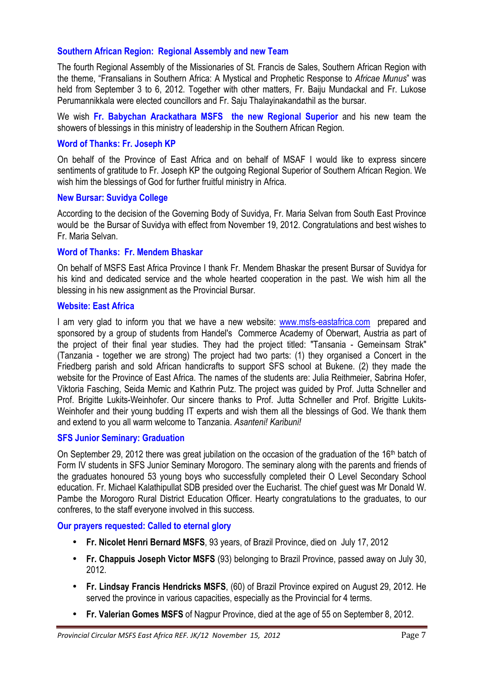# **Southern African Region: Regional Assembly and new Team**

The fourth Regional Assembly of the Missionaries of St. Francis de Sales, Southern African Region with the theme, "Fransalians in Southern Africa: A Mystical and Prophetic Response to *Africae Munus*" was held from September 3 to 6, 2012. Together with other matters, Fr. Baiju Mundackal and Fr. Lukose Perumannikkala were elected councillors and Fr. Saju Thalayinakandathil as the bursar.

We wish **Fr. Babychan Arackathara MSFS the new Regional Superior** and his new team the showers of blessings in this ministry of leadership in the Southern African Region.

### **Word of Thanks: Fr. Joseph KP**

On behalf of the Province of East Africa and on behalf of MSAF I would like to express sincere sentiments of gratitude to Fr. Joseph KP the outgoing Regional Superior of Southern African Region. We wish him the blessings of God for further fruitful ministry in Africa.

#### **New Bursar: Suvidya College**

According to the decision of the Governing Body of Suvidya, Fr. Maria Selvan from South East Province would be the Bursar of Suvidya with effect from November 19, 2012. Congratulations and best wishes to Fr. Maria Selvan.

#### **Word of Thanks: Fr. Mendem Bhaskar**

On behalf of MSFS East Africa Province I thank Fr. Mendem Bhaskar the present Bursar of Suvidya for his kind and dedicated service and the whole hearted cooperation in the past. We wish him all the blessing in his new assignment as the Provincial Bursar.

#### **Website: East Africa**

I am very glad to inform you that we have a new website: www.msfs-eastafrica.com prepared and sponsored by a group of students from Handel's Commerce Academy of Oberwart, Austria as part of the project of their final year studies. They had the project titled: "Tansania - Gemeinsam Strak" (Tanzania - together we are strong) The project had two parts: (1) they organised a Concert in the Friedberg parish and sold African handicrafts to support SFS school at Bukene. (2) they made the website for the Province of East Africa. The names of the students are: Julia Reithmeier, Sabrina Hofer, Viktoria Fasching, Seida Memic and Kathrin Putz. The project was guided by Prof. Jutta Schneller and Prof. Brigitte Lukits-Weinhofer. Our sincere thanks to Prof. Jutta Schneller and Prof. Brigitte Lukits-Weinhofer and their young budding IT experts and wish them all the blessings of God. We thank them and extend to you all warm welcome to Tanzania. *Asanteni! Karibuni!*

# **SFS Junior Seminary: Graduation**

On September 29, 2012 there was great jubilation on the occasion of the graduation of the 16<sup>th</sup> batch of Form IV students in SFS Junior Seminary Morogoro. The seminary along with the parents and friends of the graduates honoured 53 young boys who successfully completed their O Level Secondary School education. Fr. Michael Kalathipullat SDB presided over the Eucharist. The chief guest was Mr Donald W. Pambe the Morogoro Rural District Education Officer. Hearty congratulations to the graduates, to our confreres, to the staff everyone involved in this success.

#### **Our prayers requested: Called to eternal glory**

- **Fr. Nicolet Henri Bernard MSFS**, 93 years, of Brazil Province, died on July 17, 2012
- **Fr. Chappuis Joseph Victor MSFS** (93) belonging to Brazil Province, passed away on July 30, 2012.
- **Fr. Lindsay Francis Hendricks MSFS**, (60) of Brazil Province expired on August 29, 2012. He served the province in various capacities, especially as the Provincial for 4 terms.
- **Fr. Valerian Gomes MSFS** of Nagpur Province, died at the age of 55 on September 8, 2012.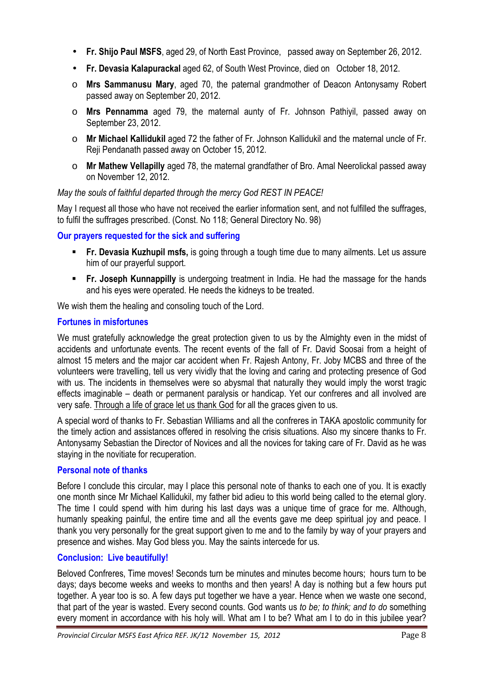- **Fr. Shijo Paul MSFS**, aged 29, of North East Province, passed away on September 26, 2012.
- **Fr. Devasia Kalapurackal** aged 62, of South West Province, died on October 18, 2012.
- o **Mrs Sammanusu Mary**, aged 70, the paternal grandmother of Deacon Antonysamy Robert passed away on September 20, 2012.
- o **Mrs Pennamma** aged 79, the maternal aunty of Fr. Johnson Pathiyil, passed away on September 23, 2012.
- o **Mr Michael Kallidukil** aged 72 the father of Fr. Johnson Kallidukil and the maternal uncle of Fr. Reji Pendanath passed away on October 15, 2012.
- o **Mr Mathew Vellapilly** aged 78, the maternal grandfather of Bro. Amal Neerolickal passed away on November 12, 2012.

# *May the souls of faithful departed through the mercy God REST IN PEACE!*

May I request all those who have not received the earlier information sent, and not fulfilled the suffrages, to fulfil the suffrages prescribed. (Const. No 118; General Directory No. 98)

# **Our prayers requested for the sick and suffering**

- **Fr. Devasia Kuzhupil msfs,** is going through a tough time due to many ailments. Let us assure him of our prayerful support.
- **Fr. Joseph Kunnappilly** is undergoing treatment in India. He had the massage for the hands and his eyes were operated. He needs the kidneys to be treated.

We wish them the healing and consoling touch of the Lord.

### **Fortunes in misfortunes**

We must gratefully acknowledge the great protection given to us by the Almighty even in the midst of accidents and unfortunate events. The recent events of the fall of Fr. David Soosai from a height of almost 15 meters and the major car accident when Fr. Rajesh Antony, Fr. Joby MCBS and three of the volunteers were travelling, tell us very vividly that the loving and caring and protecting presence of God with us. The incidents in themselves were so abysmal that naturally they would imply the worst tragic effects imaginable – death or permanent paralysis or handicap. Yet our confreres and all involved are very safe. Through a life of grace let us thank God for all the graces given to us.

A special word of thanks to Fr. Sebastian Williams and all the confreres in TAKA apostolic community for the timely action and assistances offered in resolving the crisis situations. Also my sincere thanks to Fr. Antonysamy Sebastian the Director of Novices and all the novices for taking care of Fr. David as he was staying in the novitiate for recuperation.

# **Personal note of thanks**

Before I conclude this circular, may I place this personal note of thanks to each one of you. It is exactly one month since Mr Michael Kallidukil, my father bid adieu to this world being called to the eternal glory. The time I could spend with him during his last days was a unique time of grace for me. Although, humanly speaking painful, the entire time and all the events gave me deep spiritual joy and peace. I thank you very personally for the great support given to me and to the family by way of your prayers and presence and wishes. May God bless you. May the saints intercede for us.

# **Conclusion: Live beautifully!**

Beloved Confreres, Time moves! Seconds turn be minutes and minutes become hours; hours turn to be days; days become weeks and weeks to months and then years! A day is nothing but a few hours put together. A year too is so. A few days put together we have a year. Hence when we waste one second, that part of the year is wasted. Every second counts. God wants us *to be; to think; and to do* something every moment in accordance with his holy will. What am I to be? What am I to do in this jubilee year?